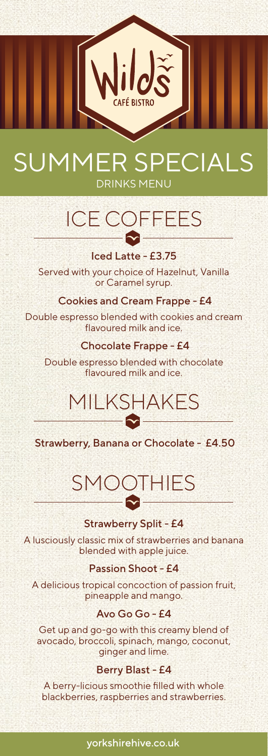

## SUMMER SPECIALS DRINKS MENU

# ICE COFFEES

Iced Latte - £3.75 Served with your choice of Hazelnut, Vanilla or Caramel syrup.

Cookies and Cream Frappe - £4

Double espresso blended with cookies and cream flavoured milk and ice.

#### Chocolate Frappe - £4

Double espresso blended with chocolate flavoured milk and ice.

### MILKSHAKES  $\bullet$  –

Strawberry, Banana or Chocolate - £4.50

# SMOOTHIES<br>———<del>©</del>

#### Strawberry Split - £4

A lusciously classic mix of strawberries and banana blended with apple juice.

#### Passion Shoot - £4

A delicious tropical concoction of passion fruit, pineapple and mango.

#### Avo Go Go - £4

Get up and go-go with this creamy blend of avocado, broccoli, spinach, mango, coconut, ginger and lime.

#### Berry Blast - £4

A berry-licious smoothie filled with whole blackberries, raspberries and strawberries.

#### yorkshirehive.co.uk